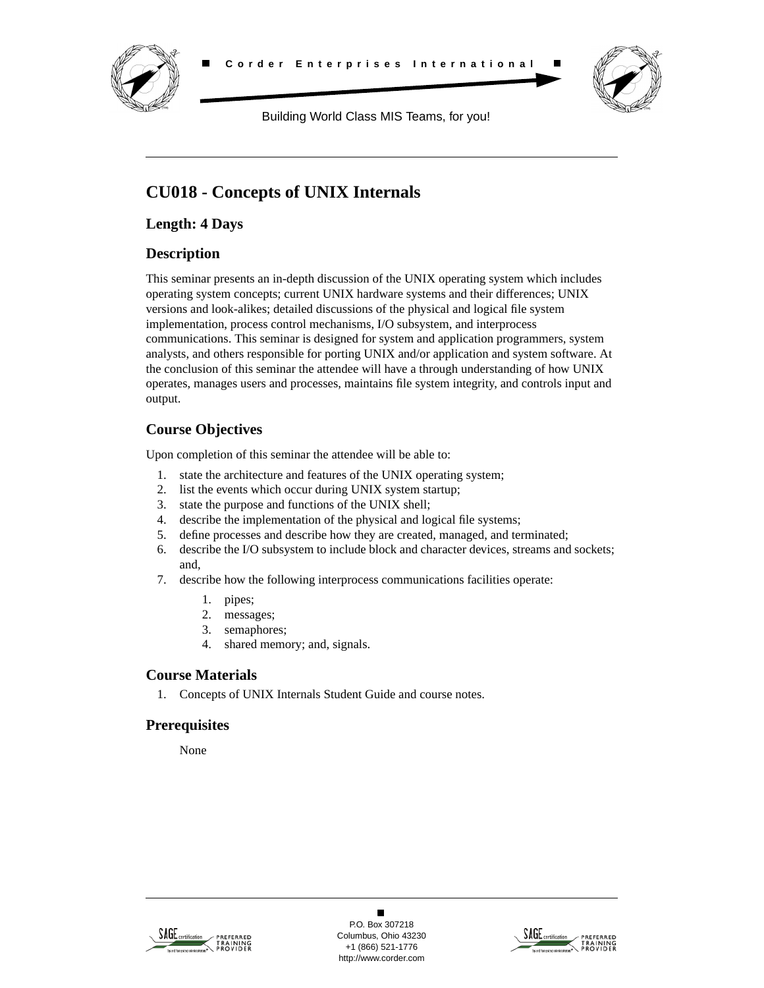



Building World Class MIS Teams, for you!

# **CU018 - Concepts of UNIX Internals**

**Length: 4 Days**

## **Description**

This seminar presents an in-depth discussion of the UNIX operating system which includes operating system concepts; current UNIX hardware systems and their differences; UNIX versions and look-alikes; detailed discussions of the physical and logical file system implementation, process control mechanisms, I/O subsystem, and interprocess communications. This seminar is designed for system and application programmers, system analysts, and others responsible for porting UNIX and/or application and system software. At the conclusion of this seminar the attendee will have a through understanding of how UNIX operates, manages users and processes, maintains file system integrity, and controls input and output.

## **Course Objectives**

Upon completion of this seminar the attendee will be able to:

- 1. state the architecture and features of the UNIX operating system;
- 2. list the events which occur during UNIX system startup;
- 3. state the purpose and functions of the UNIX shell;
- 4. describe the implementation of the physical and logical file systems;
- 5. define processes and describe how they are created, managed, and terminated;
- 6. describe the I/O subsystem to include block and character devices, streams and sockets; and,
- 7. describe how the following interprocess communications facilities operate:
	- 1. pipes;
	- 2. messages;
	- 3. semaphores;
	- 4. shared memory; and, signals.

## **Course Materials**

1. Concepts of UNIX Internals Student Guide and course notes.

## **Prerequisites**

None



 $\blacksquare$ P.O. Box 307218 Columbus, Ohio 43230 +1 (866) 521-1776 http://www.corder.com

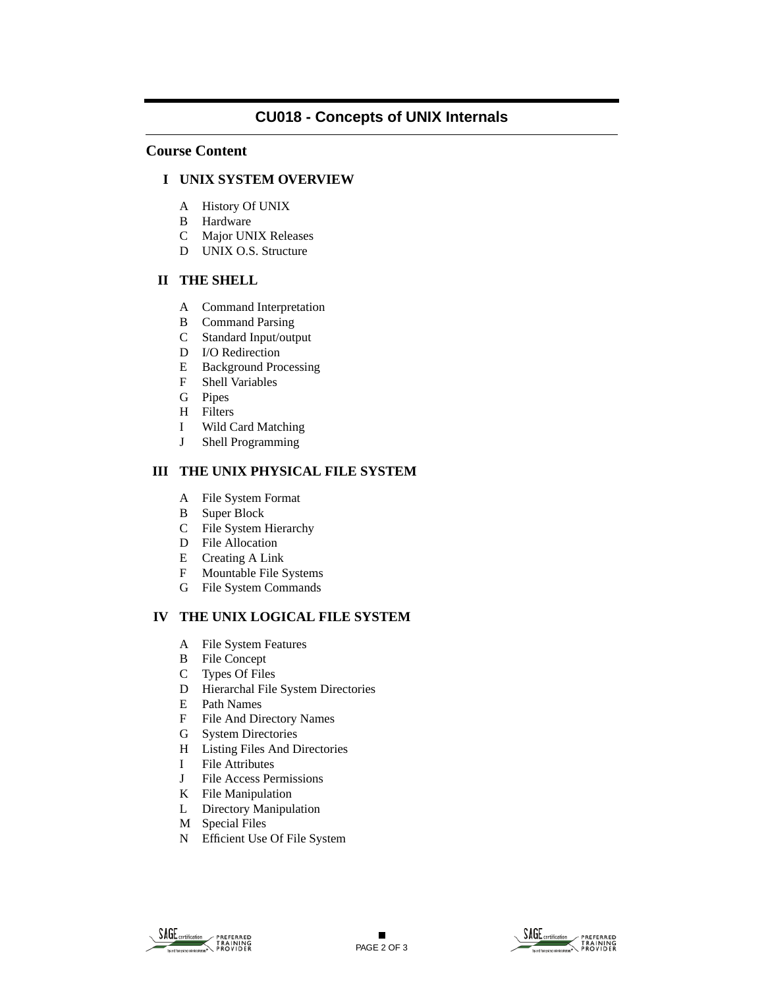## **CU018 - Concepts of UNIX Internals**

### **Course Content**

## **I UNIX SYSTEM OVERVIEW**

- A History Of UNIX
- B Hardware
- C Major UNIX Releases
- D UNIX O.S. Structure

#### **II THE SHELL**

- A Command Interpretation
- B Command Parsing
- C Standard Input/output
- D I/O Redirection
- E Background Processing
- F Shell Variables
- G Pipes
- H Filters
- I Wild Card Matching
- J Shell Programming

## **III THE UNIX PHYSICAL FILE SYSTEM**

- A File System Format
- B Super Block
- C File System Hierarchy
- D File Allocation
- E Creating A Link
- F Mountable File Systems
- G File System Commands

## **IV THE UNIX LOGICAL FILE SYSTEM**

- A File System Features
- B File Concept
- C Types Of Files
- D Hierarchal File System Directories
- E Path Names
- F File And Directory Names
- G System Directories
- H Listing Files And Directories
- I File Attributes
- J File Access Permissions
- K File Manipulation
- L Directory Manipulation
- M Special Files
- N Efficient Use Of File System